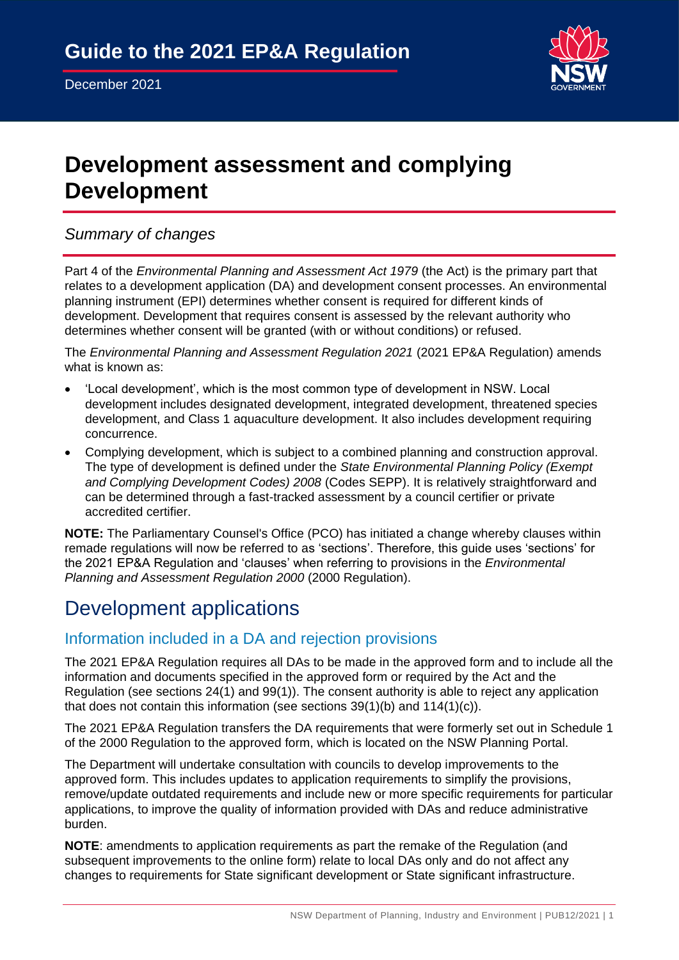

# **Development assessment and complying Development**

*Summary of changes*

Part 4 of the *Environmental Planning and Assessment Act 1979* (the Act) is the primary part that relates to a development application (DA) and development consent processes. An environmental planning instrument (EPI) determines whether consent is required for different kinds of development. Development that requires consent is assessed by the relevant authority who determines whether consent will be granted (with or without conditions) or refused.

The *Environmental Planning and Assessment Regulation 2021* (2021 EP&A Regulation) amends what is known as:

- 'Local development', which is the most common type of development in NSW. Local development includes designated development, integrated development, threatened species development, and Class 1 aquaculture development. It also includes development requiring concurrence.
- Complying development, which is subject to a combined planning and construction approval. The type of development is defined under the *State Environmental Planning Policy (Exempt and Complying Development Codes) 2008* (Codes SEPP). It is relatively straightforward and can be determined through a fast-tracked assessment by a council certifier or private accredited certifier.

**NOTE:** The Parliamentary Counsel's Office (PCO) has initiated a change whereby clauses within remade regulations will now be referred to as 'sections'. Therefore, this guide uses 'sections' for the 2021 EP&A Regulation and 'clauses' when referring to provisions in the *Environmental Planning and Assessment Regulation 2000* (2000 Regulation).

# Development applications

## Information included in a DA and rejection provisions

The 2021 EP&A Regulation requires all DAs to be made in the approved form and to include all the information and documents specified in the approved form or required by the Act and the Regulation (see sections 24(1) and 99(1)). The consent authority is able to reject any application that does not contain this information (see sections 39(1)(b) and 114(1)(c)).

The 2021 EP&A Regulation transfers the DA requirements that were formerly set out in Schedule 1 of the 2000 Regulation to the approved form, which is located on the NSW Planning Portal.

The Department will undertake consultation with councils to develop improvements to the approved form. This includes updates to application requirements to simplify the provisions, remove/update outdated requirements and include new or more specific requirements for particular applications, to improve the quality of information provided with DAs and reduce administrative burden.

**NOTE**: amendments to application requirements as part the remake of the Regulation (and subsequent improvements to the online form) relate to local DAs only and do not affect any changes to requirements for State significant development or State significant infrastructure.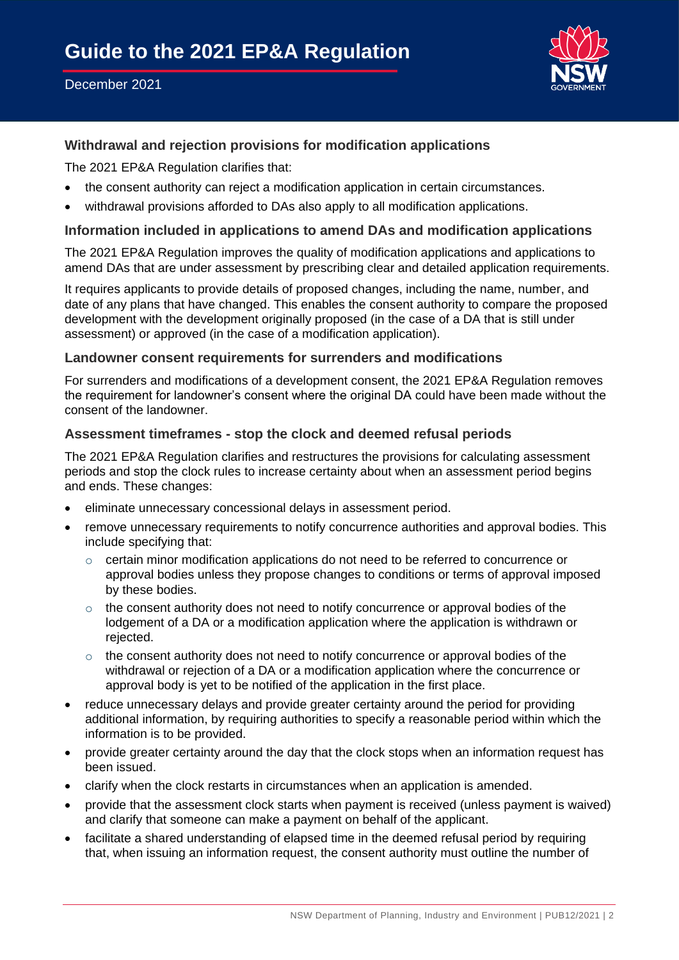## December 2021



## **Withdrawal and rejection provisions for modification applications**

The 2021 EP&A Regulation clarifies that:

- the consent authority can reject a modification application in certain circumstances.
- withdrawal provisions afforded to DAs also apply to all modification applications.

#### **Information included in applications to amend DAs and modification applications**

The 2021 EP&A Regulation improves the quality of modification applications and applications to amend DAs that are under assessment by prescribing clear and detailed application requirements.

It requires applicants to provide details of proposed changes, including the name, number, and date of any plans that have changed. This enables the consent authority to compare the proposed development with the development originally proposed (in the case of a DA that is still under assessment) or approved (in the case of a modification application).

#### **Landowner consent requirements for surrenders and modifications**

For surrenders and modifications of a development consent, the 2021 EP&A Regulation removes the requirement for landowner's consent where the original DA could have been made without the consent of the landowner.

#### **Assessment timeframes - stop the clock and deemed refusal periods**

The 2021 EP&A Regulation clarifies and restructures the provisions for calculating assessment periods and stop the clock rules to increase certainty about when an assessment period begins and ends. These changes:

- eliminate unnecessary concessional delays in assessment period.
- remove unnecessary requirements to notify concurrence authorities and approval bodies. This include specifying that:
	- $\circ$  certain minor modification applications do not need to be referred to concurrence or approval bodies unless they propose changes to conditions or terms of approval imposed by these bodies.
	- o the consent authority does not need to notify concurrence or approval bodies of the lodgement of a DA or a modification application where the application is withdrawn or rejected.
	- $\circ$  the consent authority does not need to notify concurrence or approval bodies of the withdrawal or rejection of a DA or a modification application where the concurrence or approval body is yet to be notified of the application in the first place.
- reduce unnecessary delays and provide greater certainty around the period for providing additional information, by requiring authorities to specify a reasonable period within which the information is to be provided.
- provide greater certainty around the day that the clock stops when an information request has been issued.
- clarify when the clock restarts in circumstances when an application is amended.
- provide that the assessment clock starts when payment is received (unless payment is waived) and clarify that someone can make a payment on behalf of the applicant.
- facilitate a shared understanding of elapsed time in the deemed refusal period by requiring that, when issuing an information request, the consent authority must outline the number of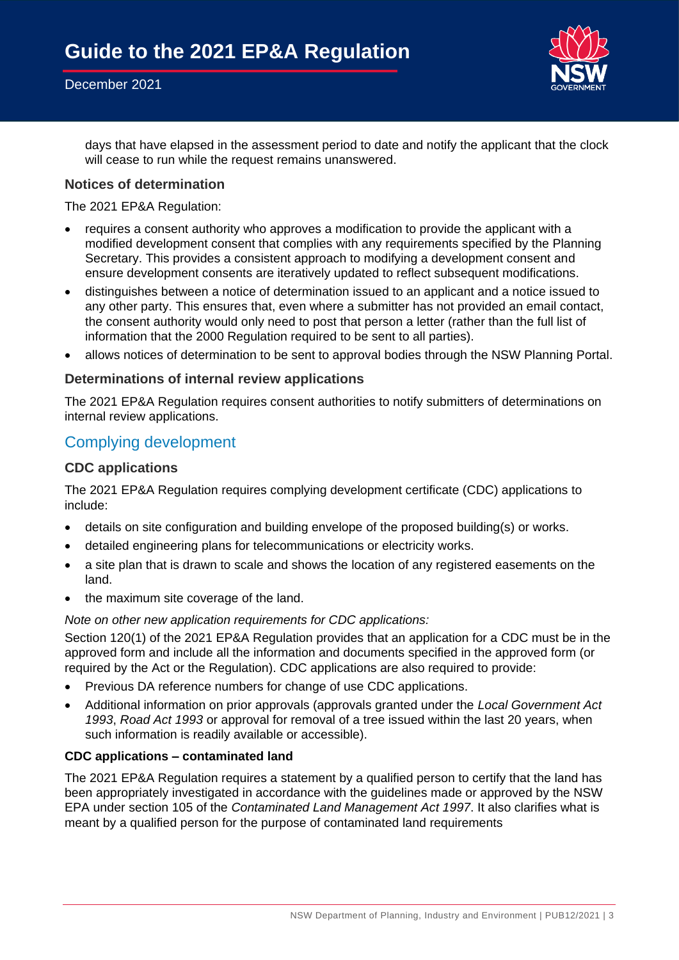### December 2021



days that have elapsed in the assessment period to date and notify the applicant that the clock will cease to run while the request remains unanswered.

#### **Notices of determination**

The 2021 EP&A Regulation:

- requires a consent authority who approves a modification to provide the applicant with a modified development consent that complies with any requirements specified by the Planning Secretary. This provides a consistent approach to modifying a development consent and ensure development consents are iteratively updated to reflect subsequent modifications.
- distinguishes between a notice of determination issued to an applicant and a notice issued to any other party. This ensures that, even where a submitter has not provided an email contact, the consent authority would only need to post that person a letter (rather than the full list of information that the 2000 Regulation required to be sent to all parties).
- allows notices of determination to be sent to approval bodies through the NSW Planning Portal.

#### **Determinations of internal review applications**

The 2021 EP&A Regulation requires consent authorities to notify submitters of determinations on internal review applications.

## Complying development

#### **CDC applications**

The 2021 EP&A Regulation requires complying development certificate (CDC) applications to include:

- details on site configuration and building envelope of the proposed building(s) or works.
- detailed engineering plans for telecommunications or electricity works.
- a site plan that is drawn to scale and shows the location of any registered easements on the land.
- the maximum site coverage of the land.

#### *Note on other new application requirements for CDC applications:*

Section 120(1) of the 2021 EP&A Regulation provides that an application for a CDC must be in the approved form and include all the information and documents specified in the approved form (or required by the Act or the Regulation). CDC applications are also required to provide:

- Previous DA reference numbers for change of use CDC applications.
- Additional information on prior approvals (approvals granted under the *Local Government Act 1993*, *Road Act 1993* or approval for removal of a tree issued within the last 20 years, when such information is readily available or accessible).

#### **CDC applications – contaminated land**

The 2021 EP&A Regulation requires a statement by a qualified person to certify that the land has been appropriately investigated in accordance with the guidelines made or approved by the NSW EPA under section 105 of the *Contaminated Land Management Act 1997*. It also clarifies what is meant by a qualified person for the purpose of contaminated land requirements